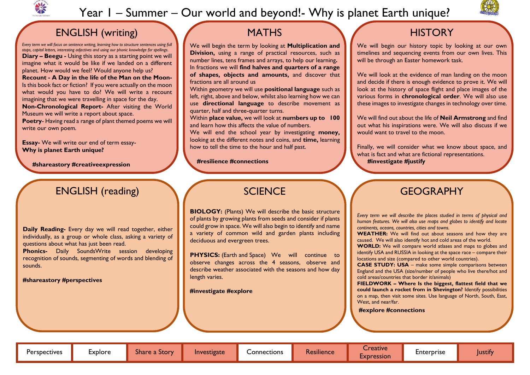

# Year I – Summer – Our world and beyond!- Why is planet Earth unique?

## ENGLISH (writing)

*Every term we will focus on sentence writing, learning how to structure sentences using full stops, capital letters, interesting adjectives and using our phonic knowledge for spellings*. **Diary – Beegu -** Using this story as a starting point we will imagine what it would be like if we landed on a different planet. How would we feel? Would anyone help us? **Recount - A Day in the life of the Man on the Moon-**Is this book fact or fiction? If you were actually on the moon what would you have to do? We will write a recount imagining that we were travelling in space for the day. **Non-Chronological Report-** After visiting the World Museum we will write a report about space.

**Poetry**- Having read a range of plant themed poems we will write our own poem.

**Essay-** We will write our end of term essay-**Why is planet Earth unique?**

 **#shareastory #creativeexpression**

## **MATHS**

We will begin the term by looking at **Multiplication and Division,** using a range of practical resources, such as number lines, tens frames and arrays, to help our learning**.** In fractions we will **find halves and quarters of a range of shapes, objects and amounts,** and discover that fractions are all around us

Within geometry we will use **positional language** such as left, right, above and below, whilst also learning how we can use **directional language** to describe movement as quarter, half and three-quarter turns.

Within **place value,** we will look at **numbers up to 100**  and learn how this affects the value of numbers.

We will end the school year by investigating **money,**  looking at the different notes and coins, and **time,** learning how to tell the time to the hour and half past.

 **#resilience #connections**

We will begin our history topic by looking at our own timelines and sequencing events from our own lives. This will be through an Easter homework task.

**BIOLOGY:** (Plants) We will describe the basic structure of plants by growing plants from seeds and consider if plants could grow in space. We will also begin to identify and name a variety of common wild and garden plants including deciduous and evergreen trees.

**PHYSICS:** (Earth and Space) We will continue to observe changes across the 4 seasons, observe and describe weather associated with the seasons and how day length varies.

We will look at the evidence of man landing on the moon and decide if there is enough evidence to prove it. We will look at the history of space flight and place images of the various forms in **chronological order**. We will also use these images to investigate changes in technology over time.

We will find out about the life of **Neil Armstrong** and find out what his inspirations were. We will also discuss if we would want to travel to the moon.

Finally, we will consider what we know about space, and what is fact and what are fictional representations.  **#investigate #justify** 

# ENGLISH (reading)

**Daily Reading-** Every day we will read together, either individually, as a group or whole class, asking a variety of questions about what has just been read.

**Phonics-** Daily SoundsWrite session developing recognition of sounds, segmenting of words and blending of sounds.

**#shareastory #perspectives**

## **SCIENCE**

#### GEOGRAPHY

*Every term we will describe the places studied in terms of physical and human features. We will also use maps and globes to identify and locate continents, oceans, countries, cities and towns.*

**WEATHER:** We will find out about seasons and how they are caused. We will also identify hot and cold areas of the world.

**WORLD:** We will compare world atlases and maps to globes and identify USA and RUSSIA in looking at the space race – compare their locations and size (compared to other world countries).

**CASE STUDY: USA** – make some simple comparisons between England and the USA (size/number of people who live there/hot and cold areas/countries that border it/animals)

**FIELDWORK – Where Is the biggest, flattest field that we could launch a rocket from in Shevington?** Identify possibilities on a map, then visit some sites. Use language of North, South, East,

West, and near/far.





# **HISTORY**

#### **#explore #connections**

**#investigate #explore**